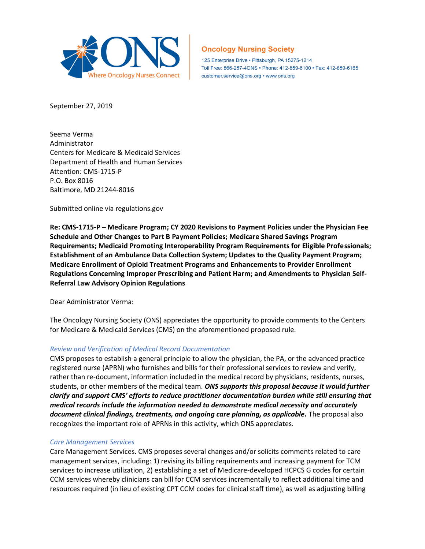

# **Oncology Nursing Society**

125 Enterprise Drive · Pittsburgh, PA 15275-1214 Toll Free: 866-257-4ONS · Phone: 412-859-6100 · Fax: 412-859-6165 customer.service@ons.org • www.ons.org

September 27, 2019

Seema Verma Administrator Centers for Medicare & Medicaid Services Department of Health and Human Services Attention: CMS-1715-P P.O. Box 8016 Baltimore, MD 21244-8016

Submitted online via regulations.gov

**Re: CMS-1715-P – Medicare Program; CY 2020 Revisions to Payment Policies under the Physician Fee Schedule and Other Changes to Part B Payment Policies; Medicare Shared Savings Program Requirements; Medicaid Promoting Interoperability Program Requirements for Eligible Professionals; Establishment of an Ambulance Data Collection System; Updates to the Quality Payment Program; Medicare Enrollment of Opioid Treatment Programs and Enhancements to Provider Enrollment Regulations Concerning Improper Prescribing and Patient Harm; and Amendments to Physician Self-Referral Law Advisory Opinion Regulations**

Dear Administrator Verma:

The Oncology Nursing Society (ONS) appreciates the opportunity to provide comments to the Centers for Medicare & Medicaid Services (CMS) on the aforementioned proposed rule.

### *Review and Verification of Medical Record Documentation*

CMS proposes to establish a general principle to allow the physician, the PA, or the advanced practice registered nurse (APRN) who furnishes and bills for their professional services to review and verify, rather than re-document, information included in the medical record by physicians, residents, nurses, students, or other members of the medical team. *ONS supports this proposal because it would further clarify and support CMS' efforts to reduce practitioner documentation burden while still ensuring that medical records include the information needed to demonstrate medical necessity and accurately*  document clinical findings, treatments, and ongoing care planning, as applicable. The proposal also recognizes the important role of APRNs in this activity, which ONS appreciates.

#### *Care Management Services*

Care Management Services. CMS proposes several changes and/or solicits comments related to care management services, including: 1) revising its billing requirements and increasing payment for TCM services to increase utilization, 2) establishing a set of Medicare-developed HCPCS G codes for certain CCM services whereby clinicians can bill for CCM services incrementally to reflect additional time and resources required (in lieu of existing CPT CCM codes for clinical staff time), as well as adjusting billing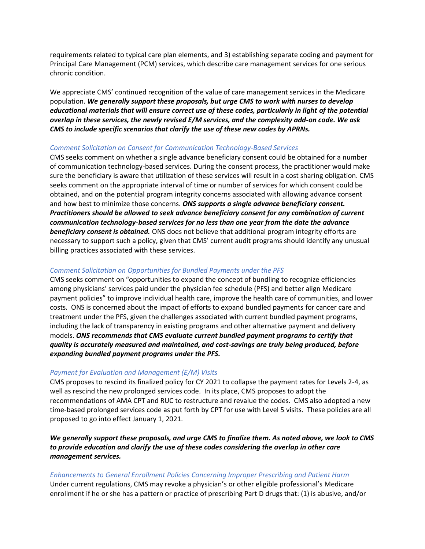requirements related to typical care plan elements, and 3) establishing separate coding and payment for Principal Care Management (PCM) services, which describe care management services for one serious chronic condition.

We appreciate CMS' continued recognition of the value of care management services in the Medicare population. *We generally support these proposals, but urge CMS to work with nurses to develop educational materials that will ensure correct use of these codes, particularly in light of the potential overlap in these services, the newly revised E/M services, and the complexity add-on code. We ask CMS to include specific scenarios that clarify the use of these new codes by APRNs.*

#### *Comment Solicitation on Consent for Communication Technology-Based Services*

CMS seeks comment on whether a single advance beneficiary consent could be obtained for a number of communication technology-based services. During the consent process, the practitioner would make sure the beneficiary is aware that utilization of these services will result in a cost sharing obligation. CMS seeks comment on the appropriate interval of time or number of services for which consent could be obtained, and on the potential program integrity concerns associated with allowing advance consent and how best to minimize those concerns. *ONS supports a single advance beneficiary consent. Practitioners should be allowed to seek advance beneficiary consent for any combination of current communication technology-based services for no less than one year from the date the advance beneficiary consent is obtained.* ONS does not believe that additional program integrity efforts are necessary to support such a policy, given that CMS' current audit programs should identify any unusual billing practices associated with these services.

### *Comment Solicitation on Opportunities for Bundled Payments under the PFS*

CMS seeks comment on "opportunities to expand the concept of bundling to recognize efficiencies among physicians' services paid under the physician fee schedule (PFS) and better align Medicare payment policies" to improve individual health care, improve the health care of communities, and lower costs. ONS is concerned about the impact of efforts to expand bundled payments for cancer care and treatment under the PFS, given the challenges associated with current bundled payment programs, including the lack of transparency in existing programs and other alternative payment and delivery models. *ONS recommends that CMS evaluate current bundled payment programs to certify that quality is accurately measured and maintained, and cost-savings are truly being produced, before expanding bundled payment programs under the PFS.*

#### *Payment for Evaluation and Management (E/M) Visits*

CMS proposes to rescind its finalized policy for CY 2021 to collapse the payment rates for Levels 2-4, as well as rescind the new prolonged services code. In its place, CMS proposes to adopt the recommendations of AMA CPT and RUC to restructure and revalue the codes. CMS also adopted a new time-based prolonged services code as put forth by CPT for use with Level 5 visits. These policies are all proposed to go into effect January 1, 2021.

*We generally support these proposals, and urge CMS to finalize them. As noted above, we look to CMS to provide education and clarify the use of these codes considering the overlap in other care management services.* 

#### *Enhancements to General Enrollment Policies Concerning Improper Prescribing and Patient Harm*

Under current regulations, CMS may revoke a physician's or other eligible professional's Medicare enrollment if he or she has a pattern or practice of prescribing Part D drugs that: (1) is abusive, and/or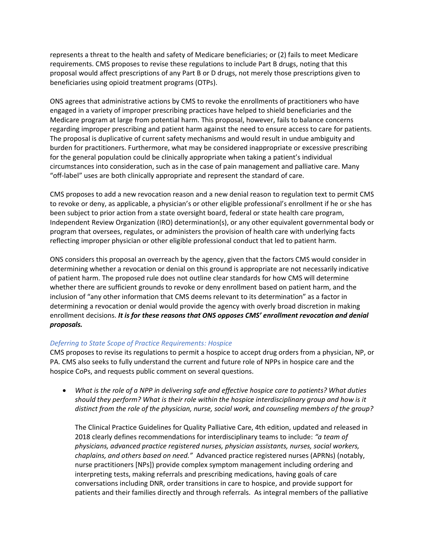represents a threat to the health and safety of Medicare beneficiaries; or (2) fails to meet Medicare requirements. CMS proposes to revise these regulations to include Part B drugs, noting that this proposal would affect prescriptions of any Part B or D drugs, not merely those prescriptions given to beneficiaries using opioid treatment programs (OTPs).

ONS agrees that administrative actions by CMS to revoke the enrollments of practitioners who have engaged in a variety of improper prescribing practices have helped to shield beneficiaries and the Medicare program at large from potential harm. This proposal, however, fails to balance concerns regarding improper prescribing and patient harm against the need to ensure access to care for patients. The proposal is duplicative of current safety mechanisms and would result in undue ambiguity and burden for practitioners. Furthermore, what may be considered inappropriate or excessive prescribing for the general population could be clinically appropriate when taking a patient's individual circumstances into consideration, such as in the case of pain management and palliative care. Many "off-label" uses are both clinically appropriate and represent the standard of care.

CMS proposes to add a new revocation reason and a new denial reason to regulation text to permit CMS to revoke or deny, as applicable, a physician's or other eligible professional's enrollment if he or she has been subject to prior action from a state oversight board, federal or state health care program, Independent Review Organization (IRO) determination(s), or any other equivalent governmental body or program that oversees, regulates, or administers the provision of health care with underlying facts reflecting improper physician or other eligible professional conduct that led to patient harm.

ONS considers this proposal an overreach by the agency, given that the factors CMS would consider in determining whether a revocation or denial on this ground is appropriate are not necessarily indicative of patient harm. The proposed rule does not outline clear standards for how CMS will determine whether there are sufficient grounds to revoke or deny enrollment based on patient harm, and the inclusion of "any other information that CMS deems relevant to its determination" as a factor in determining a revocation or denial would provide the agency with overly broad discretion in making enrollment decisions. *It is for these reasons that ONS opposes CMS' enrollment revocation and denial proposals.* 

### *Deferring to State Scope of Practice Requirements: Hospice*

CMS proposes to revise its regulations to permit a hospice to accept drug orders from a physician, NP, or PA. CMS also seeks to fully understand the current and future role of NPPs in hospice care and the hospice CoPs, and requests public comment on several questions.

• *What is the role of a NPP in delivering safe and effective hospice care to patients? What duties should they perform? What is their role within the hospice interdisciplinary group and how is it distinct from the role of the physician, nurse, social work, and counseling members of the group?* 

The Clinical Practice Guidelines for Quality Palliative Care, 4th edition, updated and released in 2018 clearly defines recommendations for interdisciplinary teams to include: *"a team of physicians, advanced practice registered nurses, physician assistants, nurses, social workers, chaplains, and others based on need."* Advanced practice registered nurses (APRNs) (notably, nurse practitioners [NPs]) provide complex symptom management including ordering and interpreting tests, making referrals and prescribing medications, having goals of care conversations including DNR, order transitions in care to hospice, and provide support for patients and their families directly and through referrals. As integral members of the palliative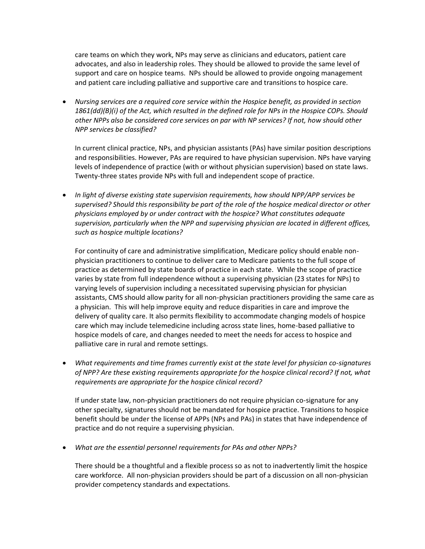care teams on which they work, NPs may serve as clinicians and educators, patient care advocates, and also in leadership roles. They should be allowed to provide the same level of support and care on hospice teams. NPs should be allowed to provide ongoing management and patient care including palliative and supportive care and transitions to hospice care.

• *Nursing services are a required core service within the Hospice benefit, as provided in section 1861(dd)(B)(i) of the Act, which resulted in the defined role for NPs in the Hospice COPs. Should other NPPs also be considered core services on par with NP services? If not, how should other NPP services be classified?* 

In current clinical practice, NPs, and physician assistants (PAs) have similar position descriptions and responsibilities. However, PAs are required to have physician supervision. NPs have varying levels of independence of practice (with or without physician supervision) based on state laws. Twenty-three states provide NPs with full and independent scope of practice.

• *In light of diverse existing state supervision requirements, how should NPP/APP services be supervised? Should this responsibility be part of the role of the hospice medical director or other physicians employed by or under contract with the hospice? What constitutes adequate supervision, particularly when the NPP and supervising physician are located in different offices, such as hospice multiple locations?*

For continuity of care and administrative simplification, Medicare policy should enable nonphysician practitioners to continue to deliver care to Medicare patients to the full scope of practice as determined by state boards of practice in each state. While the scope of practice varies by state from full independence without a supervising physician (23 states for NPs) to varying levels of supervision including a necessitated supervising physician for physician assistants, CMS should allow parity for all non-physician practitioners providing the same care as a physician. This will help improve equity and reduce disparities in care and improve the delivery of quality care. It also permits flexibility to accommodate changing models of hospice care which may include telemedicine including across state lines, home-based palliative to hospice models of care, and changes needed to meet the needs for access to hospice and palliative care in rural and remote settings.

• *What requirements and time frames currently exist at the state level for physician co-signatures of NPP? Are these existing requirements appropriate for the hospice clinical record? If not, what requirements are appropriate for the hospice clinical record?* 

If under state law, non-physician practitioners do not require physician co-signature for any other specialty, signatures should not be mandated for hospice practice. Transitions to hospice benefit should be under the license of APPs (NPs and PAs) in states that have independence of practice and do not require a supervising physician.

• *What are the essential personnel requirements for PAs and other NPPs?* 

There should be a thoughtful and a flexible process so as not to inadvertently limit the hospice care workforce. All non-physician providers should be part of a discussion on all non-physician provider competency standards and expectations.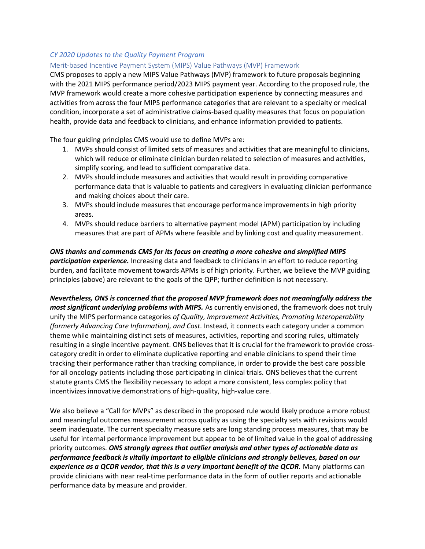## *CY 2020 Updates to the Quality Payment Program*

#### Merit-based Incentive Payment System (MIPS) Value Pathways (MVP) Framework

CMS proposes to apply a new MIPS Value Pathways (MVP) framework to future proposals beginning with the 2021 MIPS performance period/2023 MIPS payment year. According to the proposed rule, the MVP framework would create a more cohesive participation experience by connecting measures and activities from across the four MIPS performance categories that are relevant to a specialty or medical condition, incorporate a set of administrative claims-based quality measures that focus on population health, provide data and feedback to clinicians, and enhance information provided to patients.

The four guiding principles CMS would use to define MVPs are:

- 1. MVPs should consist of limited sets of measures and activities that are meaningful to clinicians, which will reduce or eliminate clinician burden related to selection of measures and activities, simplify scoring, and lead to sufficient comparative data.
- 2. MVPs should include measures and activities that would result in providing comparative performance data that is valuable to patients and caregivers in evaluating clinician performance and making choices about their care.
- 3. MVPs should include measures that encourage performance improvements in high priority areas.
- 4. MVPs should reduce barriers to alternative payment model (APM) participation by including measures that are part of APMs where feasible and by linking cost and quality measurement.

# *ONS thanks and commends CMS for its focus on creating a more cohesive and simplified MIPS participation experience.* Increasing data and feedback to clinicians in an effort to reduce reporting burden, and facilitate movement towards APMs is of high priority. Further, we believe the MVP guiding principles (above) are relevant to the goals of the QPP; further definition is not necessary.

*Nevertheless, ONS is concerned that the proposed MVP framework does not meaningfully address the most significant underlying problems with MIPS.* As currently envisioned, the framework does not truly unify the MIPS performance categories *of Quality, Improvement Activities, Promoting Interoperability (formerly Advancing Care Information), and Cost.* Instead, it connects each category under a common theme while maintaining distinct sets of measures, activities, reporting and scoring rules, ultimately resulting in a single incentive payment. ONS believes that it is crucial for the framework to provide crosscategory credit in order to eliminate duplicative reporting and enable clinicians to spend their time tracking their performance rather than tracking compliance, in order to provide the best care possible for all oncology patients including those participating in clinical trials. ONS believes that the current statute grants CMS the flexibility necessary to adopt a more consistent, less complex policy that incentivizes innovative demonstrations of high-quality, high-value care.

We also believe a "Call for MVPs" as described in the proposed rule would likely produce a more robust and meaningful outcomes measurement across quality as using the specialty sets with revisions would seem inadequate. The current specialty measure sets are long standing process measures, that may be useful for internal performance improvement but appear to be of limited value in the goal of addressing priority outcomes. *ONS strongly agrees that outlier analysis and other types of actionable data as performance feedback is vitally important to eligible clinicians and strongly believes, based on our experience as a QCDR vendor, that this is a very important benefit of the QCDR.* Many platforms can provide clinicians with near real-time performance data in the form of outlier reports and actionable performance data by measure and provider.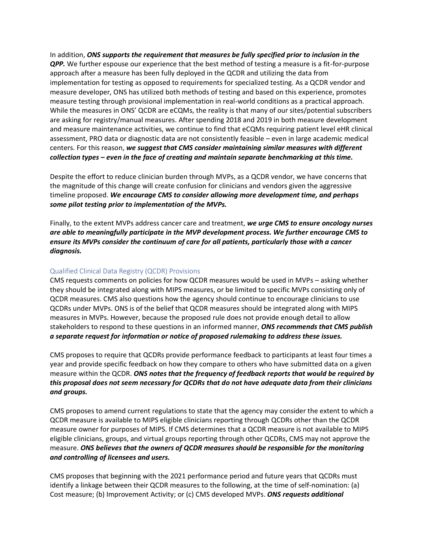In addition, *ONS supports the requirement that measures be fully specified prior to inclusion in the QPP.* We further espouse our experience that the best method of testing a measure is a fit-for-purpose approach after a measure has been fully deployed in the QCDR and utilizing the data from implementation for testing as opposed to requirements for specialized testing. As a QCDR vendor and measure developer, ONS has utilized both methods of testing and based on this experience, promotes measure testing through provisional implementation in real-world conditions as a practical approach. While the measures in ONS' QCDR are eCQMs, the reality is that many of our sites/potential subscribers are asking for registry/manual measures. After spending 2018 and 2019 in both measure development and measure maintenance activities, we continue to find that eCQMs requiring patient level eHR clinical assessment, PRO data or diagnostic data are not consistently feasible – even in large academic medical centers. For this reason, *we suggest that CMS consider maintaining similar measures with different collection types – even in the face of creating and maintain separate benchmarking at this time.* 

Despite the effort to reduce clinician burden through MVPs, as a QCDR vendor, we have concerns that the magnitude of this change will create confusion for clinicians and vendors given the aggressive timeline proposed. *We encourage CMS to consider allowing more development time, and perhaps some pilot testing prior to implementation of the MVPs.*

Finally, to the extent MVPs address cancer care and treatment, *we urge CMS to ensure oncology nurses are able to meaningfully participate in the MVP development process. We further encourage CMS to ensure its MVPs consider the continuum of care for all patients, particularly those with a cancer diagnosis.* 

### Qualified Clinical Data Registry (QCDR) Provisions

CMS requests comments on policies for how QCDR measures would be used in MVPs – asking whether they should be integrated along with MIPS measures, or be limited to specific MVPs consisting only of QCDR measures. CMS also questions how the agency should continue to encourage clinicians to use QCDRs under MVPs. ONS is of the belief that QCDR measures should be integrated along with MIPS measures in MVPs. However, because the proposed rule does not provide enough detail to allow stakeholders to respond to these questions in an informed manner, *ONS recommends that CMS publish a separate request for information or notice of proposed rulemaking to address these issues.* 

CMS proposes to require that QCDRs provide performance feedback to participants at least four times a year and provide specific feedback on how they compare to others who have submitted data on a given measure within the QCDR. *ONS notes that the frequency of feedback reports that would be required by this proposal does not seem necessary for QCDRs that do not have adequate data from their clinicians and groups.* 

CMS proposes to amend current regulations to state that the agency may consider the extent to which a QCDR measure is available to MIPS eligible clinicians reporting through QCDRs other than the QCDR measure owner for purposes of MIPS. If CMS determines that a QCDR measure is not available to MIPS eligible clinicians, groups, and virtual groups reporting through other QCDRs, CMS may not approve the measure. *ONS believes that the owners of QCDR measures should be responsible for the monitoring and controlling of licensees and users.* 

CMS proposes that beginning with the 2021 performance period and future years that QCDRs must identify a linkage between their QCDR measures to the following, at the time of self-nomination: (a) Cost measure; (b) Improvement Activity; or (c) CMS developed MVPs. *ONS requests additional*